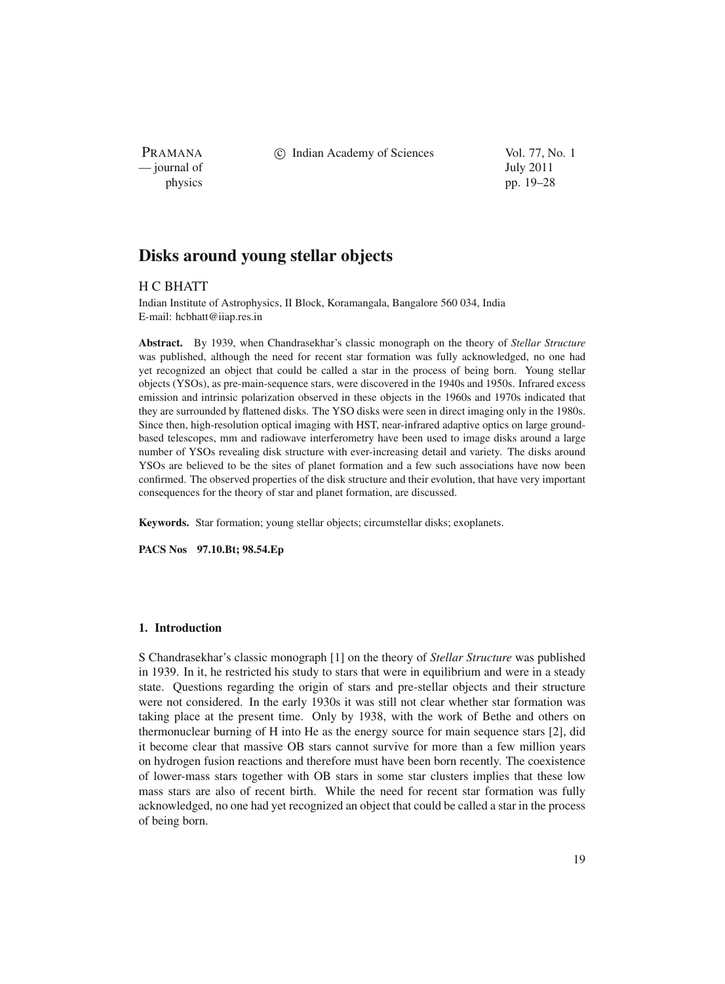PRAMANA — journal of July 2011

c Indian Academy of Sciences Vol. 77, No. 1

physics pp. 19–28

# **Disks around young stellar objects**

# H C BHATT

Indian Institute of Astrophysics, II Block, Koramangala, Bangalore 560 034, India E-mail: hcbhatt@iiap.res.in

**Abstract.** By 1939, when Chandrasekhar's classic monograph on the theory of *Stellar Structure* was published, although the need for recent star formation was fully acknowledged, no one had yet recognized an object that could be called a star in the process of being born. Young stellar objects (YSOs), as pre-main-sequence stars, were discovered in the 1940s and 1950s. Infrared excess emission and intrinsic polarization observed in these objects in the 1960s and 1970s indicated that they are surrounded by flattened disks. The YSO disks were seen in direct imaging only in the 1980s. Since then, high-resolution optical imaging with HST, near-infrared adaptive optics on large groundbased telescopes, mm and radiowave interferometry have been used to image disks around a large number of YSOs revealing disk structure with ever-increasing detail and variety. The disks around YSOs are believed to be the sites of planet formation and a few such associations have now been confirmed. The observed properties of the disk structure and their evolution, that have very important consequences for the theory of star and planet formation, are discussed.

**Keywords.** Star formation; young stellar objects; circumstellar disks; exoplanets.

**PACS Nos 97.10.Bt; 98.54.Ep**

# **1. Introduction**

S Chandrasekhar's classic monograph [1] on the theory of *Stellar Structure* was published in 1939. In it, he restricted his study to stars that were in equilibrium and were in a steady state. Questions regarding the origin of stars and pre-stellar objects and their structure were not considered. In the early 1930s it was still not clear whether star formation was taking place at the present time. Only by 1938, with the work of Bethe and others on thermonuclear burning of H into He as the energy source for main sequence stars [2], did it become clear that massive OB stars cannot survive for more than a few million years on hydrogen fusion reactions and therefore must have been born recently. The coexistence of lower-mass stars together with OB stars in some star clusters implies that these low mass stars are also of recent birth. While the need for recent star formation was fully acknowledged, no one had yet recognized an object that could be called a star in the process of being born.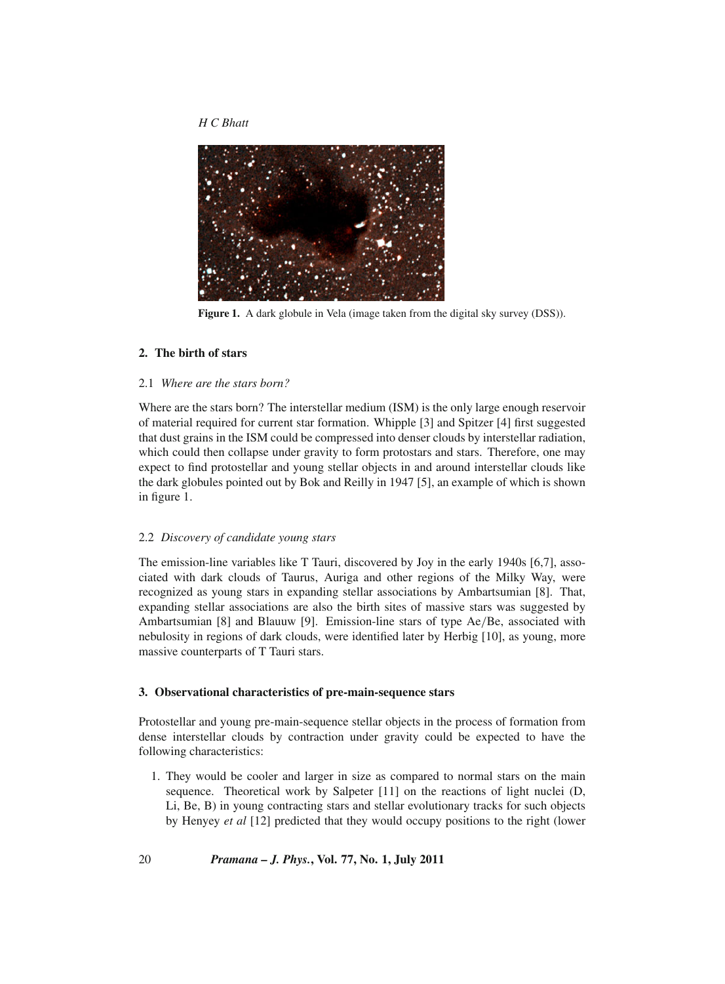

**Figure 1.** A dark globule in Vela (image taken from the digital sky survey (DSS)).

## **2. The birth of stars**

## 2.1 *Where are the stars born?*

Where are the stars born? The interstellar medium (ISM) is the only large enough reservoir of material required for current star formation. Whipple [3] and Spitzer [4] first suggested that dust grains in the ISM could be compressed into denser clouds by interstellar radiation, which could then collapse under gravity to form protostars and stars. Therefore, one may expect to find protostellar and young stellar objects in and around interstellar clouds like the dark globules pointed out by Bok and Reilly in 1947 [5], an example of which is shown in figure 1.

#### 2.2 *Discovery of candidate young stars*

The emission-line variables like T Tauri, discovered by Joy in the early 1940s [6,7], associated with dark clouds of Taurus, Auriga and other regions of the Milky Way, were recognized as young stars in expanding stellar associations by Ambartsumian [8]. That, expanding stellar associations are also the birth sites of massive stars was suggested by Ambartsumian [8] and Blauuw [9]. Emission-line stars of type Ae/Be, associated with nebulosity in regions of dark clouds, were identified later by Herbig [10], as young, more massive counterparts of T Tauri stars.

## **3. Observational characteristics of pre-main-sequence stars**

Protostellar and young pre-main-sequence stellar objects in the process of formation from dense interstellar clouds by contraction under gravity could be expected to have the following characteristics:

1. They would be cooler and larger in size as compared to normal stars on the main sequence. Theoretical work by Salpeter [11] on the reactions of light nuclei (D, Li, Be, B) in young contracting stars and stellar evolutionary tracks for such objects by Henyey *et al* [12] predicted that they would occupy positions to the right (lower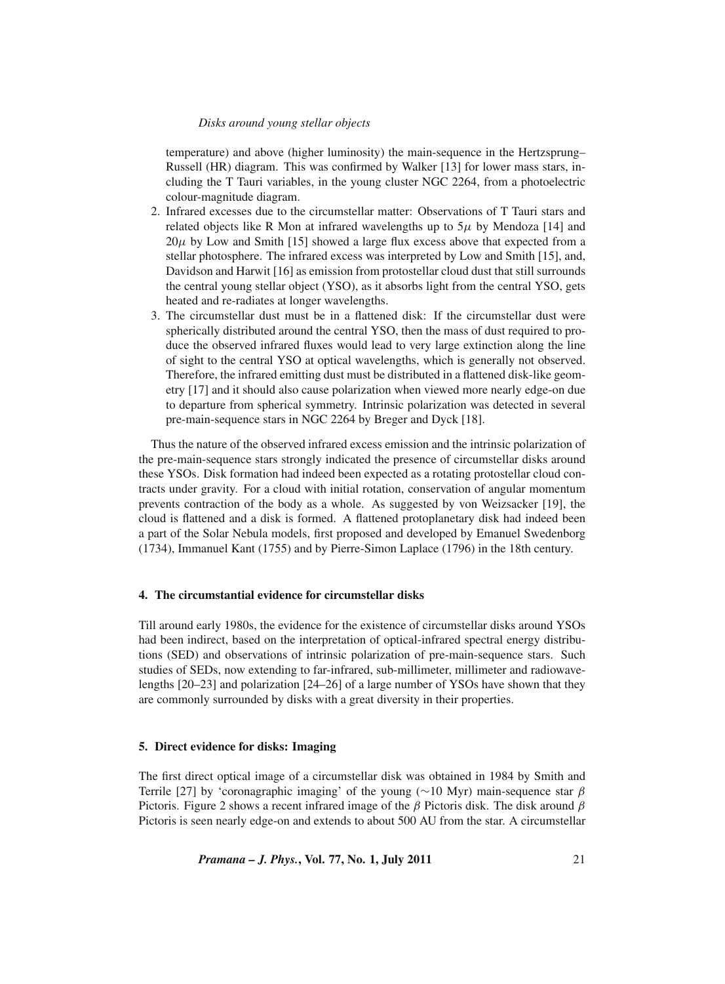temperature) and above (higher luminosity) the main-sequence in the Hertzsprung– Russell (HR) diagram. This was confirmed by Walker [13] for lower mass stars, including the T Tauri variables, in the young cluster NGC 2264, from a photoelectric colour-magnitude diagram.

- 2. Infrared excesses due to the circumstellar matter: Observations of T Tauri stars and related objects like R Mon at infrared wavelengths up to  $5\mu$  by Mendoza [14] and  $20\mu$  by Low and Smith [15] showed a large flux excess above that expected from a stellar photosphere. The infrared excess was interpreted by Low and Smith [15], and, Davidson and Harwit [16] as emission from protostellar cloud dust that still surrounds the central young stellar object (YSO), as it absorbs light from the central YSO, gets heated and re-radiates at longer wavelengths.
- 3. The circumstellar dust must be in a flattened disk: If the circumstellar dust were spherically distributed around the central YSO, then the mass of dust required to produce the observed infrared fluxes would lead to very large extinction along the line of sight to the central YSO at optical wavelengths, which is generally not observed. Therefore, the infrared emitting dust must be distributed in a flattened disk-like geometry [17] and it should also cause polarization when viewed more nearly edge-on due to departure from spherical symmetry. Intrinsic polarization was detected in several pre-main-sequence stars in NGC 2264 by Breger and Dyck [18].

Thus the nature of the observed infrared excess emission and the intrinsic polarization of the pre-main-sequence stars strongly indicated the presence of circumstellar disks around these YSOs. Disk formation had indeed been expected as a rotating protostellar cloud contracts under gravity. For a cloud with initial rotation, conservation of angular momentum prevents contraction of the body as a whole. As suggested by von Weizsacker [19], the cloud is flattened and a disk is formed. A flattened protoplanetary disk had indeed been a part of the Solar Nebula models, first proposed and developed by Emanuel Swedenborg (1734), Immanuel Kant (1755) and by Pierre-Simon Laplace (1796) in the 18th century.

## **4. The circumstantial evidence for circumstellar disks**

Till around early 1980s, the evidence for the existence of circumstellar disks around YSOs had been indirect, based on the interpretation of optical-infrared spectral energy distributions (SED) and observations of intrinsic polarization of pre-main-sequence stars. Such studies of SEDs, now extending to far-infrared, sub-millimeter, millimeter and radiowavelengths [20–23] and polarization [24–26] of a large number of YSOs have shown that they are commonly surrounded by disks with a great diversity in their properties.

## **5. Direct evidence for disks: Imaging**

The first direct optical image of a circumstellar disk was obtained in 1984 by Smith and Terrile [27] by 'coronagraphic imaging' of the young ( $\sim$ 10 Myr) main-sequence star  $\beta$ Pictoris. Figure 2 shows a recent infrared image of the  $\beta$  Pictoris disk. The disk around  $\beta$ Pictoris is seen nearly edge-on and extends to about 500 AU from the star. A circumstellar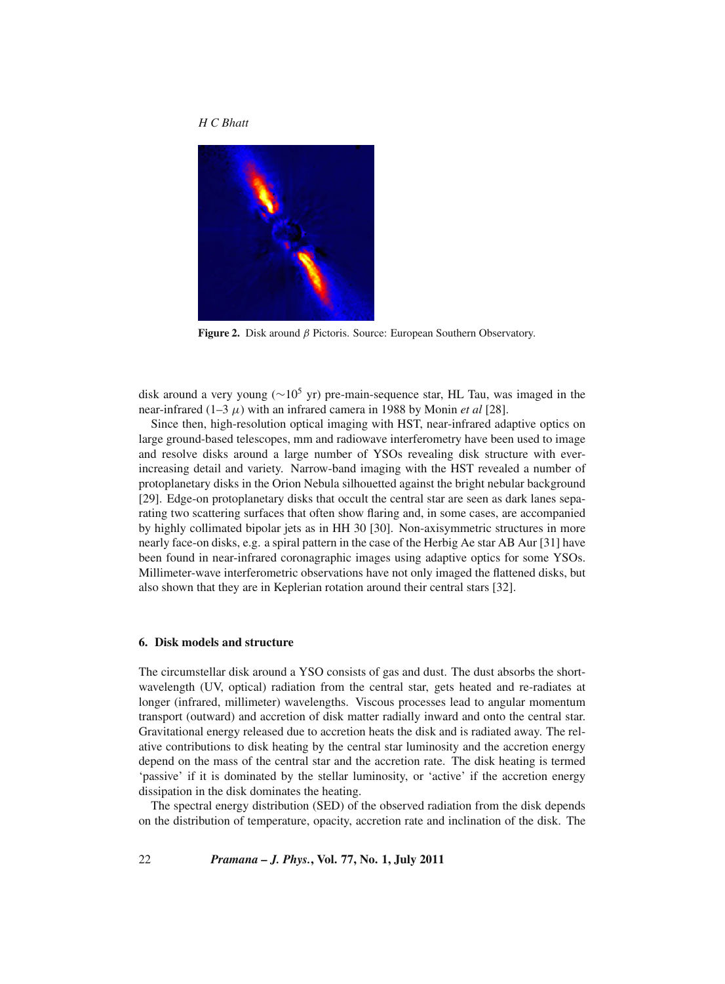



**Figure 2.** Disk around β Pictoris. Source: European Southern Observatory.

disk around a very young (∼105 yr) pre-main-sequence star, HL Tau, was imaged in the near-infrared (1–3 μ) with an infrared camera in 1988 by Monin *et al* [28].

Since then, high-resolution optical imaging with HST, near-infrared adaptive optics on large ground-based telescopes, mm and radiowave interferometry have been used to image and resolve disks around a large number of YSOs revealing disk structure with everincreasing detail and variety. Narrow-band imaging with the HST revealed a number of protoplanetary disks in the Orion Nebula silhouetted against the bright nebular background [29]. Edge-on protoplanetary disks that occult the central star are seen as dark lanes separating two scattering surfaces that often show flaring and, in some cases, are accompanied by highly collimated bipolar jets as in HH 30 [30]. Non-axisymmetric structures in more nearly face-on disks, e.g. a spiral pattern in the case of the Herbig Ae star AB Aur [31] have been found in near-infrared coronagraphic images using adaptive optics for some YSOs. Millimeter-wave interferometric observations have not only imaged the flattened disks, but also shown that they are in Keplerian rotation around their central stars [32].

## **6. Disk models and structure**

The circumstellar disk around a YSO consists of gas and dust. The dust absorbs the shortwavelength (UV, optical) radiation from the central star, gets heated and re-radiates at longer (infrared, millimeter) wavelengths. Viscous processes lead to angular momentum transport (outward) and accretion of disk matter radially inward and onto the central star. Gravitational energy released due to accretion heats the disk and is radiated away. The relative contributions to disk heating by the central star luminosity and the accretion energy depend on the mass of the central star and the accretion rate. The disk heating is termed 'passive' if it is dominated by the stellar luminosity, or 'active' if the accretion energy dissipation in the disk dominates the heating.

The spectral energy distribution (SED) of the observed radiation from the disk depends on the distribution of temperature, opacity, accretion rate and inclination of the disk. The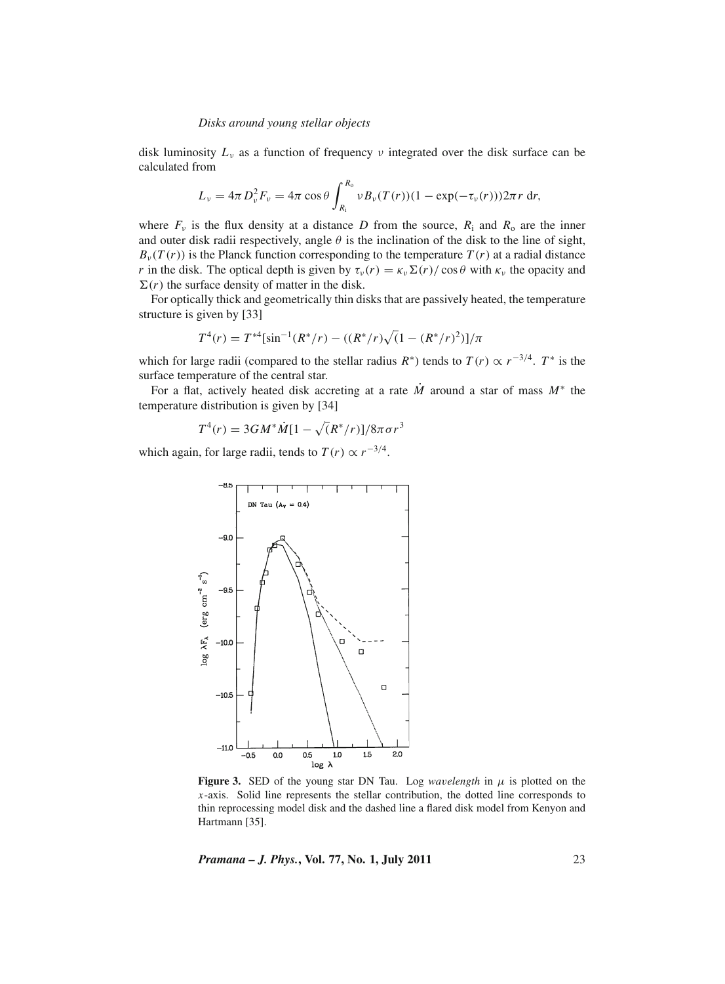disk luminosity  $L<sub>v</sub>$  as a function of frequency v integrated over the disk surface can be calculated from

$$
L_{\nu} = 4\pi D_{\nu}^2 F_{\nu} = 4\pi \cos \theta \int_{R_{\rm i}}^{R_{\rm o}} \nu B_{\nu}(T(r)) (1 - \exp(-\tau_{\nu}(r))) 2\pi r \, dr,
$$

where  $F_v$  is the flux density at a distance *D* from the source,  $R_i$  and  $R_o$  are the inner and outer disk radii respectively, angle  $\theta$  is the inclination of the disk to the line of sight,  $B_{\nu}(T(r))$  is the Planck function corresponding to the temperature  $T(r)$  at a radial distance *r* in the disk. The optical depth is given by  $\tau_{\nu}(r) = \kappa_{\nu} \Sigma(r)/\cos\theta$  with  $\kappa_{\nu}$  the opacity and  $\Sigma(r)$  the surface density of matter in the disk.

For optically thick and geometrically thin disks that are passively heated, the temperature structure is given by [33]

$$
T^{4}(r) = T^{*4}[\sin^{-1}(R^{*}/r) - ((R^{*}/r)\sqrt{(1 - (R^{*}/r)^{2})}]/\pi
$$

which for large radii (compared to the stellar radius  $R^*$ ) tends to  $T(r) \propto r^{-3/4}$ .  $T^*$  is the surface temperature of the central star.

For a flat, actively heated disk accreting at a rate  $\dot{M}$  around a star of mass  $M^*$  the temperature distribution is given by [34]

$$
T^{4}(r) = 3GM^{*}\dot{M}[1 - \sqrt{(R^{*}/r)}]/8\pi\sigma r^{3}
$$

which again, for large radii, tends to  $T(r) \propto r^{-3/4}$ .



**Figure 3.** SED of the young star DN Tau. Log *wavelength* in  $\mu$  is plotted on the *x*-axis. Solid line represents the stellar contribution, the dotted line corresponds to thin reprocessing model disk and the dashed line a flared disk model from Kenyon and Hartmann [35].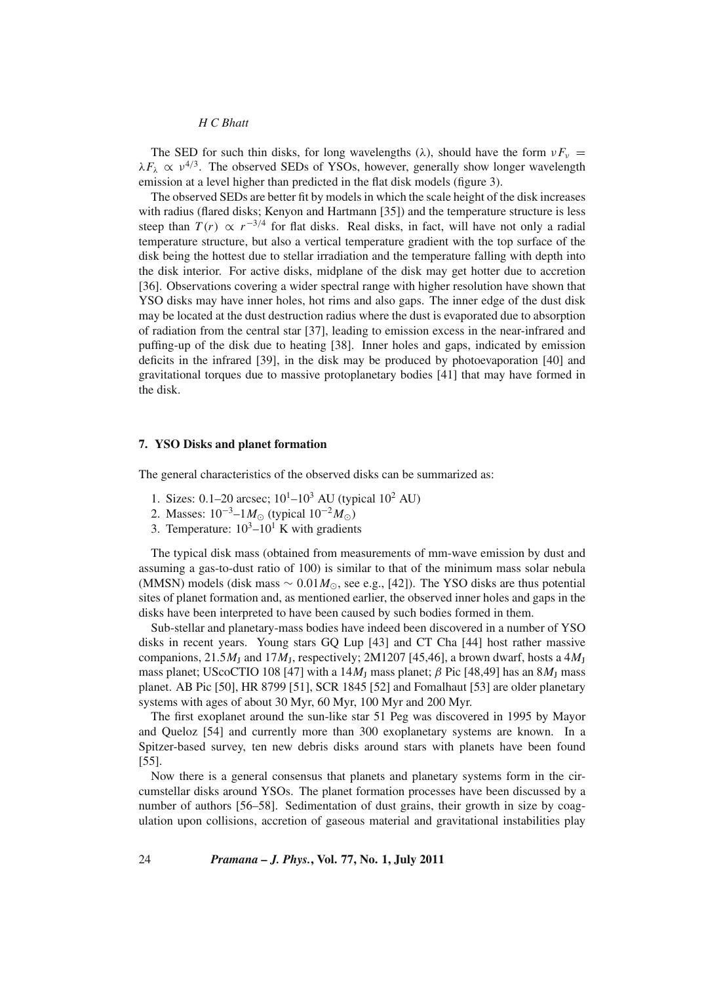The SED for such thin disks, for long wavelengths ( $\lambda$ ), should have the form  $vF_v$  =  $\lambda F_{\lambda} \propto v^{4/3}$ . The observed SEDs of YSOs, however, generally show longer wavelength emission at a level higher than predicted in the flat disk models (figure 3).

The observed SEDs are better fit by models in which the scale height of the disk increases with radius (flared disks; Kenyon and Hartmann [35]) and the temperature structure is less steep than  $T(r) \propto r^{-3/4}$  for flat disks. Real disks, in fact, will have not only a radial temperature structure, but also a vertical temperature gradient with the top surface of the disk being the hottest due to stellar irradiation and the temperature falling with depth into the disk interior. For active disks, midplane of the disk may get hotter due to accretion [36]. Observations covering a wider spectral range with higher resolution have shown that YSO disks may have inner holes, hot rims and also gaps. The inner edge of the dust disk may be located at the dust destruction radius where the dust is evaporated due to absorption of radiation from the central star [37], leading to emission excess in the near-infrared and puffing-up of the disk due to heating [38]. Inner holes and gaps, indicated by emission deficits in the infrared [39], in the disk may be produced by photoevaporation [40] and gravitational torques due to massive protoplanetary bodies [41] that may have formed in the disk.

## **7. YSO Disks and planet formation**

The general characteristics of the observed disks can be summarized as:

- 1. Sizes: 0.1–20 arcsec;  $10^{1}$ – $10^{3}$  AU (typical  $10^{2}$  AU)
- 2. Masses:  $10^{-3}$ –1*M*<sub>○</sub> (typical  $10^{-2}$ *M*<sub>○</sub>)
- 3. Temperature:  $10^3 10^1$  K with gradients

The typical disk mass (obtained from measurements of mm-wave emission by dust and assuming a gas-to-dust ratio of 100) is similar to that of the minimum mass solar nebula (MMSN) models (disk mass  $\sim 0.01 M_{\odot}$ , see e.g., [42]). The YSO disks are thus potential sites of planet formation and, as mentioned earlier, the observed inner holes and gaps in the disks have been interpreted to have been caused by such bodies formed in them.

Sub-stellar and planetary-mass bodies have indeed been discovered in a number of YSO disks in recent years. Young stars GQ Lup [43] and CT Cha [44] host rather massive companions,  $21.5M_J$  and  $17M_J$ , respectively;  $2M1207$  [45,46], a brown dwarf, hosts a  $4M_J$ mass planet; UScoCTIO 108 [47] with a  $14M<sub>I</sub>$  mass planet;  $\beta$  Pic [48,49] has an  $8M<sub>I</sub>$  mass planet. AB Pic [50], HR 8799 [51], SCR 1845 [52] and Fomalhaut [53] are older planetary systems with ages of about 30 Myr, 60 Myr, 100 Myr and 200 Myr.

The first exoplanet around the sun-like star 51 Peg was discovered in 1995 by Mayor and Queloz [54] and currently more than 300 exoplanetary systems are known. In a Spitzer-based survey, ten new debris disks around stars with planets have been found [55].

Now there is a general consensus that planets and planetary systems form in the circumstellar disks around YSOs. The planet formation processes have been discussed by a number of authors [56–58]. Sedimentation of dust grains, their growth in size by coagulation upon collisions, accretion of gaseous material and gravitational instabilities play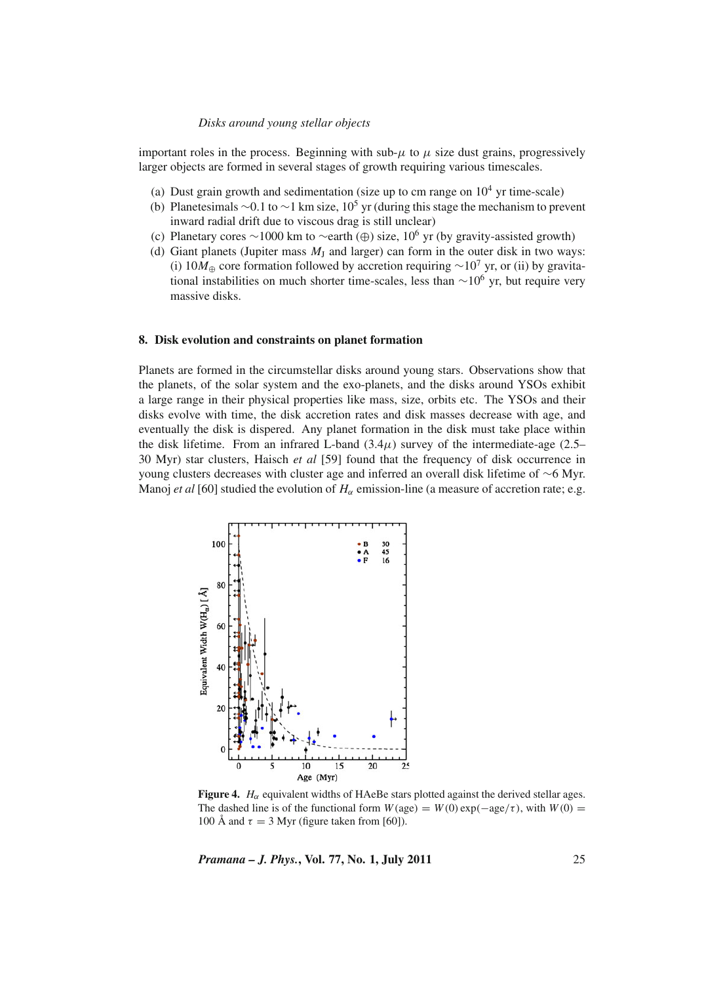important roles in the process. Beginning with sub- $\mu$  to  $\mu$  size dust grains, progressively larger objects are formed in several stages of growth requiring various timescales.

- (a) Dust grain growth and sedimentation (size up to cm range on  $10^4$  yr time-scale)
- (b) Planetesimals ∼0.1 to ∼1 km size,  $10^5$  yr (during this stage the mechanism to prevent inward radial drift due to viscous drag is still unclear)
- (c) Planetary cores ∼1000 km to ∼earth (⊕) size, 106 yr (by gravity-assisted growth)
- (d) Giant planets (Jupiter mass  $M_J$  and larger) can form in the outer disk in two ways: (i) 10 $M_{\oplus}$  core formation followed by accretion requiring ∼10<sup>7</sup> yr, or (ii) by gravitational instabilities on much shorter time-scales, less than ∼106 yr, but require very massive disks.

## **8. Disk evolution and constraints on planet formation**

Planets are formed in the circumstellar disks around young stars. Observations show that the planets, of the solar system and the exo-planets, and the disks around YSOs exhibit a large range in their physical properties like mass, size, orbits etc. The YSOs and their disks evolve with time, the disk accretion rates and disk masses decrease with age, and eventually the disk is dispered. Any planet formation in the disk must take place within the disk lifetime. From an infrared L-band  $(3.4\mu)$  survey of the intermediate-age  $(2.5-$ 30 Myr) star clusters, Haisch *et al* [59] found that the frequency of disk occurrence in young clusters decreases with cluster age and inferred an overall disk lifetime of ∼6 Myr. Manoj *et al* [60] studied the evolution of  $H_\alpha$  emission-line (a measure of accretion rate; e.g.



**Figure 4.**  $H_{\alpha}$  equivalent widths of HAeBe stars plotted against the derived stellar ages. The dashed line is of the functional form  $W(age) = W(0) \exp(-age/\tau)$ , with  $W(0) =$ 100 Å and  $\tau = 3$  Myr (figure taken from [60]).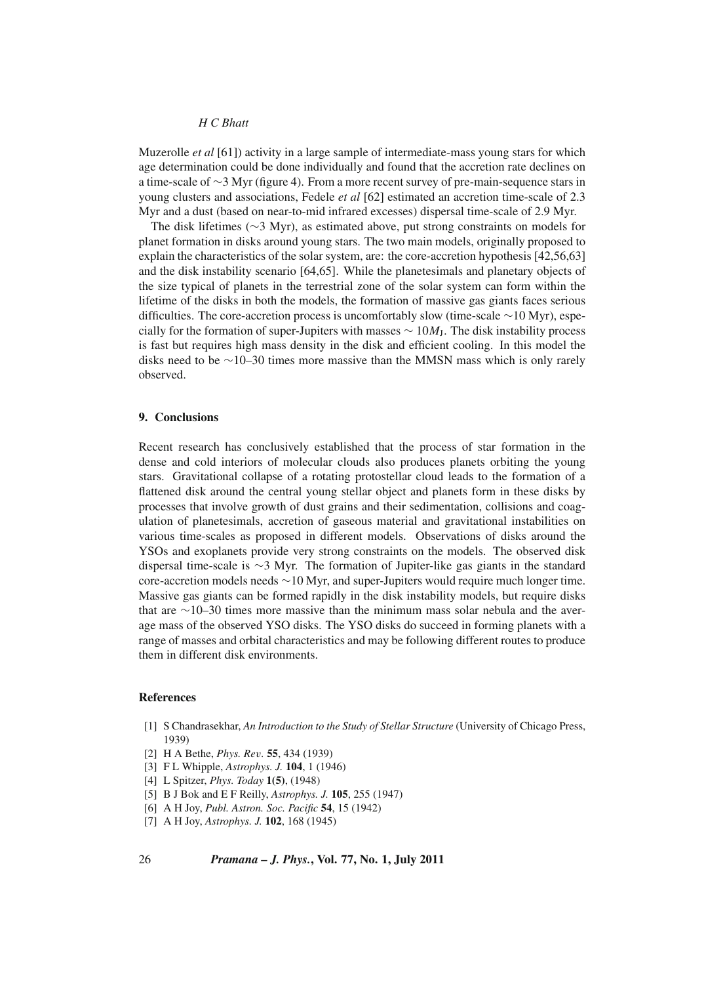Muzerolle *et al* [61]) activity in a large sample of intermediate-mass young stars for which age determination could be done individually and found that the accretion rate declines on a time-scale of ∼3 Myr (figure 4). From a more recent survey of pre-main-sequence stars in young clusters and associations, Fedele *et al* [62] estimated an accretion time-scale of 2.3 Myr and a dust (based on near-to-mid infrared excesses) dispersal time-scale of 2.9 Myr.

The disk lifetimes (∼3 Myr), as estimated above, put strong constraints on models for planet formation in disks around young stars. The two main models, originally proposed to explain the characteristics of the solar system, are: the core-accretion hypothesis [42,56,63] and the disk instability scenario [64,65]. While the planetesimals and planetary objects of the size typical of planets in the terrestrial zone of the solar system can form within the lifetime of the disks in both the models, the formation of massive gas giants faces serious difficulties. The core-accretion process is uncomfortably slow (time-scale ∼10 Myr), especially for the formation of super-Jupiters with masses  $\sim 10M<sub>I</sub>$ . The disk instability process is fast but requires high mass density in the disk and efficient cooling. In this model the disks need to be ∼10–30 times more massive than the MMSN mass which is only rarely observed.

## **9. Conclusions**

Recent research has conclusively established that the process of star formation in the dense and cold interiors of molecular clouds also produces planets orbiting the young stars. Gravitational collapse of a rotating protostellar cloud leads to the formation of a flattened disk around the central young stellar object and planets form in these disks by processes that involve growth of dust grains and their sedimentation, collisions and coagulation of planetesimals, accretion of gaseous material and gravitational instabilities on various time-scales as proposed in different models. Observations of disks around the YSOs and exoplanets provide very strong constraints on the models. The observed disk dispersal time-scale is ∼3 Myr. The formation of Jupiter-like gas giants in the standard core-accretion models needs ∼10 Myr, and super-Jupiters would require much longer time. Massive gas giants can be formed rapidly in the disk instability models, but require disks that are ∼10–30 times more massive than the minimum mass solar nebula and the average mass of the observed YSO disks. The YSO disks do succeed in forming planets with a range of masses and orbital characteristics and may be following different routes to produce them in different disk environments.

#### **References**

- [1] S Chandrasekhar, *An Introduction to the Study of Stellar Structure* (University of Chicago Press, 1939)
- [2] H A Bethe, *Phys. Re*v*.* **55**, 434 (1939)
- [3] F L Whipple, *Astrophys. J.* **104**, 1 (1946)
- [4] L Spitzer, *Phys. Today* **1(5)**, (1948)
- [5] B J Bok and E F Reilly, *Astrophys. J.* **105**, 255 (1947)
- [6] A H Joy, *Publ. Astron. Soc. Pacific* **54**, 15 (1942)
- [7] A H Joy, *Astrophys. J.* **102**, 168 (1945)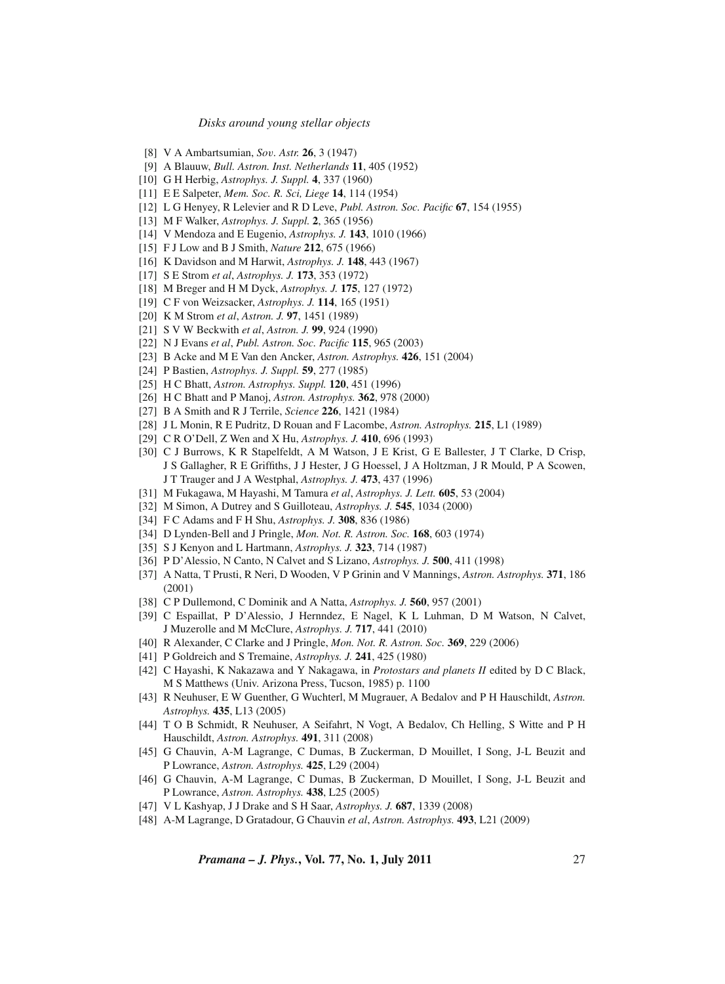- [8] V A Ambartsumian, *So*v*. Astr.* **26**, 3 (1947)
- [9] A Blauuw, *Bull. Astron. Inst. Netherlands* **11**, 405 (1952)
- [10] G H Herbig, *Astrophys. J. Suppl.* **4**, 337 (1960)
- [11] E E Salpeter, *Mem. Soc. R. Sci, Liege* **14**, 114 (1954)
- [12] L G Henyey, R Lelevier and R D Leve, *Publ. Astron. Soc. Pacific* **67**, 154 (1955)
- [13] M F Walker, *Astrophys. J. Suppl.* **2**, 365 (1956)
- [14] V Mendoza and E Eugenio, *Astrophys. J.* **143**, 1010 (1966)
- [15] F J Low and B J Smith, *Nature* **212**, 675 (1966)
- [16] K Davidson and M Harwit, *Astrophys. J.* **148**, 443 (1967)
- [17] S E Strom *et al*, *Astrophys. J.* **173**, 353 (1972)
- [18] M Breger and H M Dyck, *Astrophys. J.* **175**, 127 (1972)
- [19] C F von Weizsacker, *Astrophys. J.* **114**, 165 (1951)
- [20] K M Strom *et al*, *Astron. J.* **97**, 1451 (1989)
- [21] S V W Beckwith *et al*, *Astron. J.* **99**, 924 (1990)
- [22] N J Evans *et al*, *Publ. Astron. Soc. Pacific* **115**, 965 (2003)
- [23] B Acke and M E Van den Ancker, *Astron. Astrophys.* **426**, 151 (2004)
- [24] P Bastien, *Astrophys. J. Suppl.* **59**, 277 (1985)
- [25] H C Bhatt, *Astron. Astrophys. Suppl.* **120**, 451 (1996)
- [26] H C Bhatt and P Manoj, *Astron. Astrophys.* **362**, 978 (2000)
- [27] B A Smith and R J Terrile, *Science* **226**, 1421 (1984)
- [28] J L Monin, R E Pudritz, D Rouan and F Lacombe, *Astron. Astrophys.* **215**, L1 (1989)
- [29] C R O'Dell, Z Wen and X Hu, *Astrophys. J.* **410**, 696 (1993)
- [30] C J Burrows, K R Stapelfeldt, A M Watson, J E Krist, G E Ballester, J T Clarke, D Crisp, J S Gallagher, R E Griffiths, J J Hester, J G Hoessel, J A Holtzman, J R Mould, P A Scowen, J T Trauger and J A Westphal, *Astrophys. J.* **473**, 437 (1996)
- [31] M Fukagawa, M Hayashi, M Tamura *et al*, *Astrophys. J. Lett.* **605**, 53 (2004)
- [32] M Simon, A Dutrey and S Guilloteau, *Astrophys. J.* **545**, 1034 (2000)
- [34] F C Adams and F H Shu, *Astrophys. J.* **308**, 836 (1986)
- [34] D Lynden-Bell and J Pringle, *Mon. Not. R. Astron. Soc.* **168**, 603 (1974)
- [35] S J Kenyon and L Hartmann, *Astrophys. J.* **323**, 714 (1987)
- [36] P D'Alessio, N Canto, N Calvet and S Lizano, *Astrophys. J.* **500**, 411 (1998)
- [37] A Natta, T Prusti, R Neri, D Wooden, V P Grinin and V Mannings, *Astron. Astrophys.* **371**, 186 (2001)
- [38] C P Dullemond, C Dominik and A Natta, *Astrophys. J.* **560**, 957 (2001)
- [39] C Espaillat, P D'Alessio, J Hernndez, E Nagel, K L Luhman, D M Watson, N Calvet, J Muzerolle and M McClure, *Astrophys. J.* **717**, 441 (2010)
- [40] R Alexander, C Clarke and J Pringle, *Mon. Not. R. Astron. Soc.* **369**, 229 (2006)
- [41] P Goldreich and S Tremaine, *Astrophys. J.* **241**, 425 (1980)
- [42] C Hayashi, K Nakazawa and Y Nakagawa, in *Protostars and planets II* edited by D C Black, M S Matthews (Univ. Arizona Press, Tucson, 1985) p. 1100
- [43] R Neuhuser, E W Guenther, G Wuchterl, M Mugrauer, A Bedalov and P H Hauschildt, *Astron. Astrophys.* **435**, L13 (2005)
- [44] T O B Schmidt, R Neuhuser, A Seifahrt, N Vogt, A Bedalov, Ch Helling, S Witte and P H Hauschildt, *Astron. Astrophys.* **491**, 311 (2008)
- [45] G Chauvin, A-M Lagrange, C Dumas, B Zuckerman, D Mouillet, I Song, J-L Beuzit and P Lowrance, *Astron. Astrophys.* **425**, L29 (2004)
- [46] G Chauvin, A-M Lagrange, C Dumas, B Zuckerman, D Mouillet, I Song, J-L Beuzit and P Lowrance, *Astron. Astrophys.* **438**, L25 (2005)
- [47] V L Kashyap, J J Drake and S H Saar, *Astrophys. J.* **687**, 1339 (2008)
- [48] A-M Lagrange, D Gratadour, G Chauvin *et al*, *Astron. Astrophys.* **493**, L21 (2009)